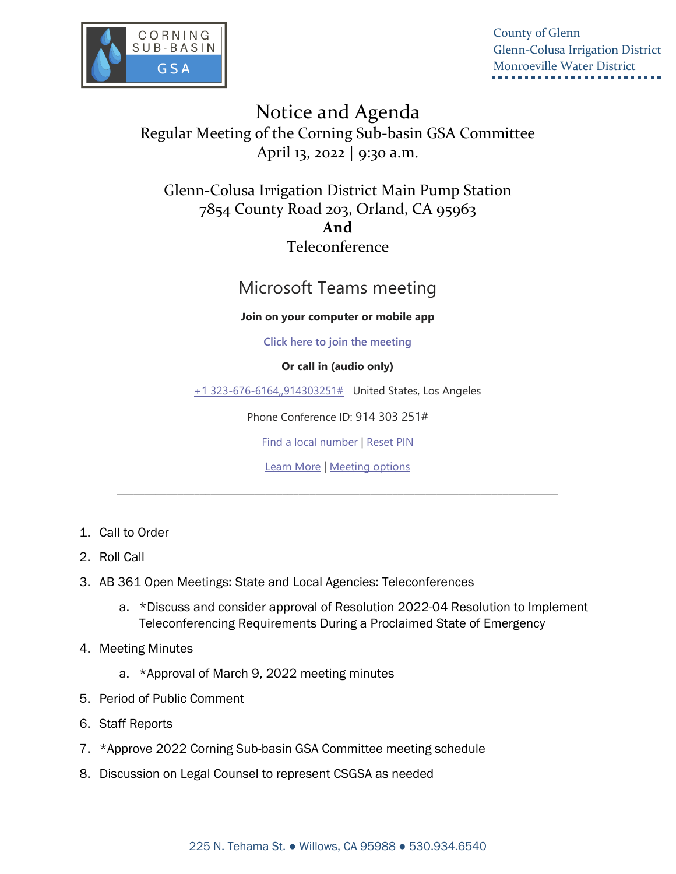

County of Glenn Glenn-Colusa Irrigation District Monroeville Water District

Notice and Agenda Regular Meeting of the Corning Sub-basin GSA Committee April 13, 2022 | 9:30 a.m.

Glenn-Colusa Irrigation District Main Pump Station 7854 County Road 203, Orland, CA 95963 **And**  Teleconference

## Microsoft Teams meeting

## **Join on your computer or mobile app**

**Click here to join the meeting**

## **Or call in (audio only)**

+1 323-676-6164,,914303251# United States, Los Angeles

Phone Conference ID: 914 303 251#

Find a local number | Reset PIN

Learn More | Meeting options

\_\_\_\_\_\_\_\_\_\_\_\_\_\_\_\_\_\_\_\_\_\_\_\_\_\_\_\_\_\_\_\_\_\_\_\_\_\_\_\_\_\_\_\_\_\_\_\_\_\_\_\_\_\_\_\_\_\_\_\_\_\_\_\_\_\_\_\_\_\_\_\_\_\_\_\_\_\_\_\_

- 1. Call to Order
- 2. Roll Call
- 3. AB 361 Open Meetings: State and Local Agencies: Teleconferences
	- a. \*Discuss and consider approval of Resolution 2022-04 Resolution to Implement Teleconferencing Requirements During a Proclaimed State of Emergency
- 4. Meeting Minutes
	- a. \*Approval of March 9, 2022 meeting minutes
- 5. Period of Public Comment
- 6. Staff Reports
- 7. \*Approve 2022 Corning Sub-basin GSA Committee meeting schedule
- 8. Discussion on Legal Counsel to represent CSGSA as needed